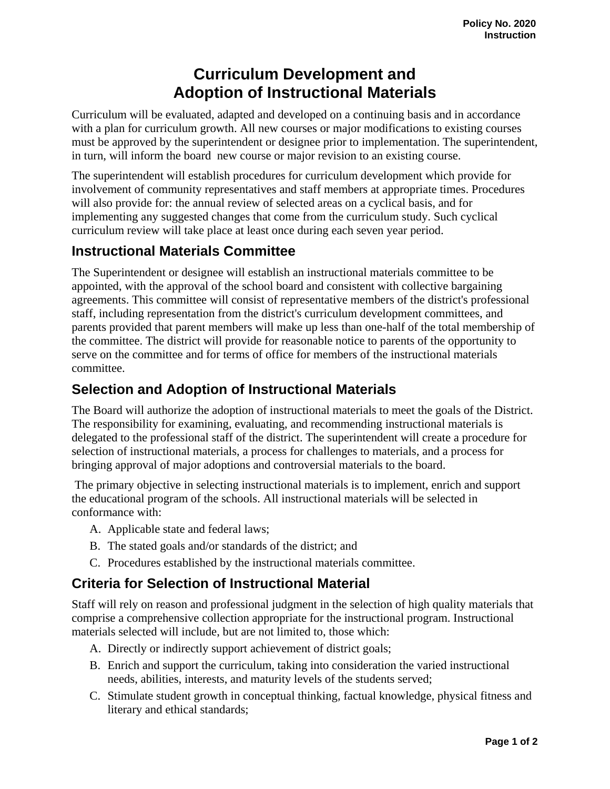## **Curriculum Development and Adoption of Instructional Materials**

Curriculum will be evaluated, adapted and developed on a continuing basis and in accordance with a plan for curriculum growth. All new courses or major modifications to existing courses must be approved by the superintendent or designee prior to implementation. The superintendent, in turn, will inform the board new course or major revision to an existing course.

The superintendent will establish procedures for curriculum development which provide for involvement of community representatives and staff members at appropriate times. Procedures will also provide for: the annual review of selected areas on a cyclical basis, and for implementing any suggested changes that come from the curriculum study. Such cyclical curriculum review will take place at least once during each seven year period.

## **Instructional Materials Committee**

The Superintendent or designee will establish an instructional materials committee to be appointed, with the approval of the school board and consistent with collective bargaining agreements. This committee will consist of representative members of the district's professional staff, including representation from the district's curriculum development committees, and parents provided that parent members will make up less than one-half of the total membership of the committee. The district will provide for reasonable notice to parents of the opportunity to serve on the committee and for terms of office for members of the instructional materials committee.

## **Selection and Adoption of Instructional Materials**

The Board will authorize the adoption of instructional materials to meet the goals of the District. The responsibility for examining, evaluating, and recommending instructional materials is delegated to the professional staff of the district. The superintendent will create a procedure for selection of instructional materials, a process for challenges to materials, and a process for bringing approval of major adoptions and controversial materials to the board.

 The primary objective in selecting instructional materials is to implement, enrich and support the educational program of the schools. All instructional materials will be selected in conformance with:

- A. Applicable state and federal laws;
- B. The stated goals and/or standards of the district; and
- C. Procedures established by the instructional materials committee.

## **Criteria for Selection of Instructional Material**

Staff will rely on reason and professional judgment in the selection of high quality materials that comprise a comprehensive collection appropriate for the instructional program. Instructional materials selected will include, but are not limited to, those which:

- A. Directly or indirectly support achievement of district goals;
- B. Enrich and support the curriculum, taking into consideration the varied instructional needs, abilities, interests, and maturity levels of the students served;
- C. Stimulate student growth in conceptual thinking, factual knowledge, physical fitness and literary and ethical standards;